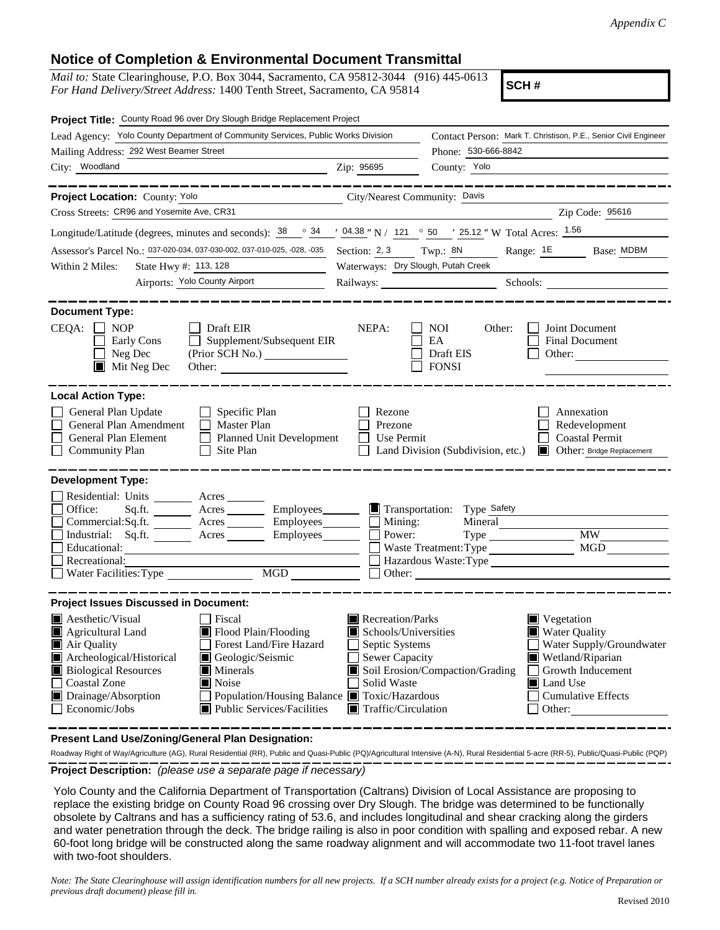## **Notice of Completion & Environmental Document Transmittal**

*Mail to:* State Clearinghouse, P.O. Box 3044, Sacramento, CA 95812-3044 (916) 445-0613 *For Hand Delivery/Street Address:* 1400 Tenth Street, Sacramento, CA 95814

**SCH #**

| Project Title: County Road 96 over Dry Slough Bridge Replacement Project                                                                                                                                                                                                                                                                                                                                   |                                                                                                                                          |                                                         |                                                                                                                                                                                                                                |
|------------------------------------------------------------------------------------------------------------------------------------------------------------------------------------------------------------------------------------------------------------------------------------------------------------------------------------------------------------------------------------------------------------|------------------------------------------------------------------------------------------------------------------------------------------|---------------------------------------------------------|--------------------------------------------------------------------------------------------------------------------------------------------------------------------------------------------------------------------------------|
| Lead Agency: Yolo County Department of Community Services, Public Works Division                                                                                                                                                                                                                                                                                                                           |                                                                                                                                          |                                                         | Contact Person: Mark T. Christison, P.E., Senior Civil Engineer                                                                                                                                                                |
| Mailing Address: 292 West Beamer Street                                                                                                                                                                                                                                                                                                                                                                    | Phone: 530-666-8842                                                                                                                      |                                                         |                                                                                                                                                                                                                                |
| City: Woodland<br><u>2ip: 95695</u>                                                                                                                                                                                                                                                                                                                                                                        |                                                                                                                                          | County: Yolo                                            |                                                                                                                                                                                                                                |
| Project Location: County: Yolo<br>City/Nearest Community: Davis                                                                                                                                                                                                                                                                                                                                            |                                                                                                                                          |                                                         |                                                                                                                                                                                                                                |
| Cross Streets: CR96 and Yosemite Ave, CR31                                                                                                                                                                                                                                                                                                                                                                 |                                                                                                                                          |                                                         | Zip Code: 95616                                                                                                                                                                                                                |
| Longitude/Latitude (degrees, minutes and seconds): $\frac{38}{128}$ $\frac{34}{124}$ $\frac{1}{24}$ $\frac{04.38}{124}$ N / $\frac{121}{124}$ $\frac{0}{25}$ $\frac{50}{124}$ W Total Acres: $\frac{1.56}{1.56}$                                                                                                                                                                                           |                                                                                                                                          |                                                         |                                                                                                                                                                                                                                |
| Assessor's Parcel No.: 037-020-034, 037-030-002, 037-010-025, -028, -035                                                                                                                                                                                                                                                                                                                                   | Section: 2, 3                                                                                                                            |                                                         | Twp.: 8N Range: 1E Base: MDBM                                                                                                                                                                                                  |
| State Hwy #: 113, 128<br>Within 2 Miles:                                                                                                                                                                                                                                                                                                                                                                   | Waterways: Dry Slough, Putah Creek                                                                                                       |                                                         |                                                                                                                                                                                                                                |
| Airports: Yolo County Airport                                                                                                                                                                                                                                                                                                                                                                              |                                                                                                                                          |                                                         | Railways: Schools: Schools: 2000 Schools: 2000 Schools: 2000 Schools: 2000 Schools: 2000 Schools: 2000 Schools: 2000 Schools: 2000 Schools: 2000 Schools: 2000 Schools: 2000 Schools: 2000 Schools: 2000 Schools: 2000 Schools |
|                                                                                                                                                                                                                                                                                                                                                                                                            |                                                                                                                                          |                                                         |                                                                                                                                                                                                                                |
| <b>Document Type:</b><br>CEQA:<br>$\Box$ NOP<br>Draft EIR<br>Early Cons<br>$\Box$ Supplement/Subsequent EIR<br>$\Box$ Neg Dec<br>$\blacksquare$ Mit Neg Dec                                                                                                                                                                                                                                                | NEPA:                                                                                                                                    | <b>NOI</b><br>Other:<br>EA<br>Draft EIS<br>$\Box$ FONSI | Joint Document<br><b>Final Document</b><br>Other:                                                                                                                                                                              |
| <b>Local Action Type:</b>                                                                                                                                                                                                                                                                                                                                                                                  |                                                                                                                                          |                                                         |                                                                                                                                                                                                                                |
| General Plan Update<br>$\Box$ Specific Plan<br>General Plan Amendment<br>П<br>Master Plan<br>General Plan Element<br>Planned Unit Development<br>$\Box$ Site Plan<br><b>Community Plan</b>                                                                                                                                                                                                                 | Rezone<br>Prezone<br>Use Permit<br>$\perp$                                                                                               | Land Division (Subdivision, etc.)                       | Annexation<br>Redevelopment<br><b>Coastal Permit</b><br>Other: Bridge Replacement                                                                                                                                              |
| <b>Development Type:</b><br>Residential: Units ________ Acres _____                                                                                                                                                                                                                                                                                                                                        |                                                                                                                                          |                                                         |                                                                                                                                                                                                                                |
| Acres _________ Employees _______ I Transportation: Type Safety<br>Office:<br>Sq.fit.                                                                                                                                                                                                                                                                                                                      |                                                                                                                                          |                                                         |                                                                                                                                                                                                                                |
| Commercial:Sq.ft. ________ Acres _________ Employees _______ __ Mining:<br>Industrial: Sq.ft. Acres Employees                                                                                                                                                                                                                                                                                              | Power:                                                                                                                                   | Mineral                                                 | Type MW                                                                                                                                                                                                                        |
| Educational:                                                                                                                                                                                                                                                                                                                                                                                               |                                                                                                                                          | Waste Treatment: Type                                   | MGD                                                                                                                                                                                                                            |
| Recreational:                                                                                                                                                                                                                                                                                                                                                                                              |                                                                                                                                          | Hazardous Waste: Type                                   |                                                                                                                                                                                                                                |
| MGD<br>Water Facilities: Type                                                                                                                                                                                                                                                                                                                                                                              | Other:                                                                                                                                   |                                                         |                                                                                                                                                                                                                                |
| <b>Project Issues Discussed in Document:</b>                                                                                                                                                                                                                                                                                                                                                               |                                                                                                                                          |                                                         |                                                                                                                                                                                                                                |
| <b>A</b> esthetic/Visual<br>Fiscal<br>Agricultural Land<br>Flood Plain/Flooding<br>Forest Land/Fire Hazard<br>Air Quality<br>Archeological/Historical<br>Geologic/Seismic<br><b>Biological Resources</b><br>$\blacksquare$ Minerals<br><b>Coastal Zone</b><br>$\blacksquare$ Noise<br>Population/Housing Balance ■ Toxic/Hazardous<br>Drainage/Absorption<br>Economic/Jobs<br>■ Public Services/Facilities | Recreation/Parks<br>Schools/Universities<br>Septic Systems<br>$\Box$ Sewer Capacity<br>Solid Waste<br>$\blacksquare$ Traffic/Circulation | Soil Erosion/Compaction/Grading                         | $\blacksquare$ Vegetation<br>■ Water Quality<br>Water Supply/Groundwater<br>Wetland/Riparian<br><b>Growth Inducement</b><br><b>■</b> Land Use<br><b>Cumulative Effects</b><br>$\Box$ Other:                                    |

**Present Land Use/Zoning/General Plan Designation:**

**Project Description:** *(please use a separate page if necessary)* Roadway Right of Way/Agriculture (AG), Rural Residential (RR), Public and Quasi-Public (PQ)/Agricultural Intensive (A-N), Rural Residential 5-acre (RR-5), Public/Quasi-Public (PQP)

 Yolo County and the California Department of Transportation (Caltrans) Division of Local Assistance are proposing to replace the existing bridge on County Road 96 crossing over Dry Slough. The bridge was determined to be functionally obsolete by Caltrans and has a sufficiency rating of 53.6, and includes longitudinal and shear cracking along the girders and water penetration through the deck. The bridge railing is also in poor condition with spalling and exposed rebar. A new 60-foot long bridge will be constructed along the same roadway alignment and will accommodate two 11-foot travel lanes with two-foot shoulders.

*Note: The State Clearinghouse will assign identification numbers for all new projects. If a SCH number already exists for a project (e.g. Notice of Preparation or previous draft document) please fill in.*